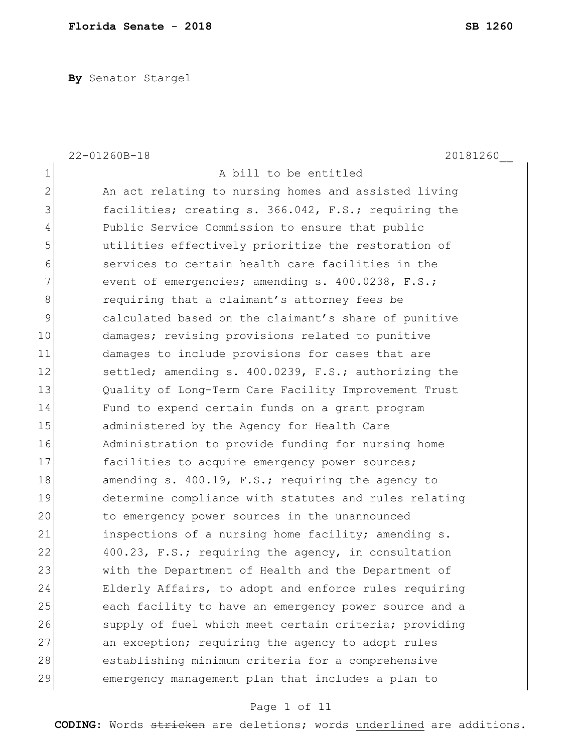**By** Senator Stargel

|              | 22-01260B-18<br>20181260                              |
|--------------|-------------------------------------------------------|
| 1            | A bill to be entitled                                 |
| $\mathbf{2}$ | An act relating to nursing homes and assisted living  |
| 3            | facilities; creating s. 366.042, F.S.; requiring the  |
| 4            | Public Service Commission to ensure that public       |
| 5            | utilities effectively prioritize the restoration of   |
| 6            | services to certain health care facilities in the     |
| 7            | event of emergencies; amending s. 400.0238, F.S.;     |
| 8            | requiring that a claimant's attorney fees be          |
| 9            | calculated based on the claimant's share of punitive  |
| 10           | damages; revising provisions related to punitive      |
| 11           | damages to include provisions for cases that are      |
| 12           | settled; amending s. 400.0239, F.S.; authorizing the  |
| 13           | Quality of Long-Term Care Facility Improvement Trust  |
| 14           | Fund to expend certain funds on a grant program       |
| 15           | administered by the Agency for Health Care            |
| 16           | Administration to provide funding for nursing home    |
| 17           | facilities to acquire emergency power sources;        |
| 18           | amending s. 400.19, F.S.; requiring the agency to     |
| 19           | determine compliance with statutes and rules relating |
| 20           | to emergency power sources in the unannounced         |
| 21           | inspections of a nursing home facility; amending s.   |
| 22           | 400.23, F.S.; requiring the agency, in consultation   |
| 23           | with the Department of Health and the Department of   |
| 24           | Elderly Affairs, to adopt and enforce rules requiring |
| 25           | each facility to have an emergency power source and a |
| 26           | supply of fuel which meet certain criteria; providing |
| 27           | an exception; requiring the agency to adopt rules     |
| 28           | establishing minimum criteria for a comprehensive     |
| 29           | emergency management plan that includes a plan to     |

# Page 1 of 11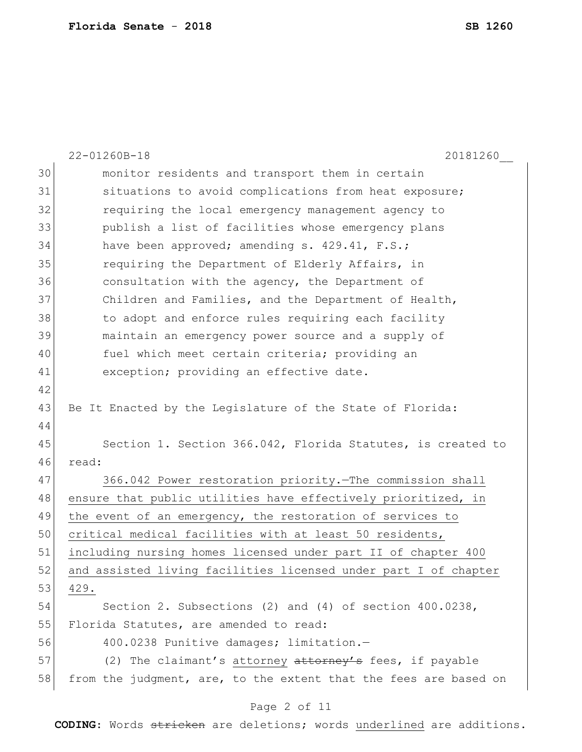|    | 22-01260B-18<br>20181260                                         |
|----|------------------------------------------------------------------|
| 30 | monitor residents and transport them in certain                  |
| 31 | situations to avoid complications from heat exposure;            |
| 32 | requiring the local emergency management agency to               |
| 33 | publish a list of facilities whose emergency plans               |
| 34 | have been approved; amending s. 429.41, F.S.;                    |
| 35 | requiring the Department of Elderly Affairs, in                  |
| 36 | consultation with the agency, the Department of                  |
| 37 | Children and Families, and the Department of Health,             |
| 38 | to adopt and enforce rules requiring each facility               |
| 39 | maintain an emergency power source and a supply of               |
| 40 | fuel which meet certain criteria; providing an                   |
| 41 | exception; providing an effective date.                          |
| 42 |                                                                  |
| 43 | Be It Enacted by the Legislature of the State of Florida:        |
| 44 |                                                                  |
| 45 | Section 1. Section 366.042, Florida Statutes, is created to      |
| 46 | read:                                                            |
| 47 | 366.042 Power restoration priority. The commission shall         |
| 48 | ensure that public utilities have effectively prioritized, in    |
| 49 | the event of an emergency, the restoration of services to        |
| 50 | critical medical facilities with at least 50 residents,          |
| 51 | including nursing homes licensed under part II of chapter 400    |
| 52 | and assisted living facilities licensed under part I of chapter  |
| 53 | 429.                                                             |
| 54 | Section 2. Subsections $(2)$ and $(4)$ of section $400.0238$ ,   |
| 55 | Florida Statutes, are amended to read:                           |
| 56 | 400.0238 Punitive damages; limitation.-                          |
| 57 | (2) The claimant's attorney attorney's fees, if payable          |
| 58 | from the judgment, are, to the extent that the fees are based on |
|    | Page 2 of 11                                                     |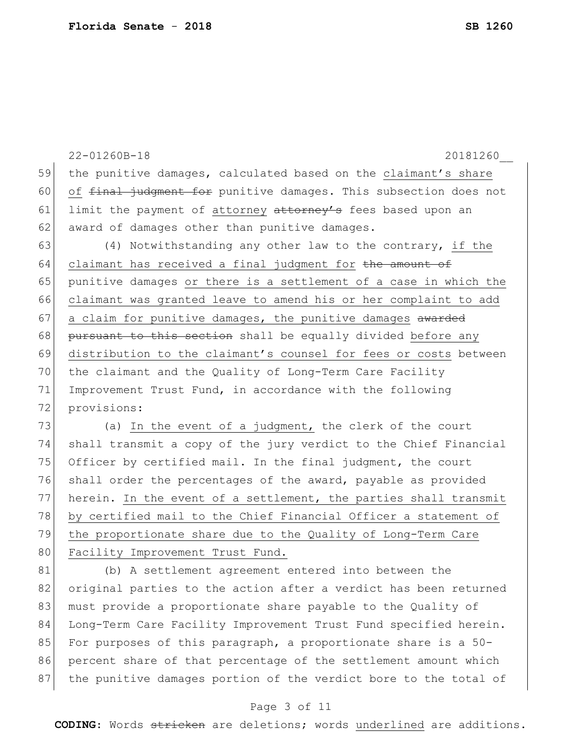22-01260B-18 20181260\_\_ 59 the punitive damages, calculated based on the claimant's share 60 of final judgment for punitive damages. This subsection does not 61 limit the payment of attorney  $at$  to  $r$  fees based upon an 62 award of damages other than punitive damages. 63  $(4)$  Notwithstanding any other law to the contrary, if the 64 claimant has received a final judgment for the amount of 65 punitive damages or there is a settlement of a case in which the 66 claimant was granted leave to amend his or her complaint to add  $67$  a claim for punitive damages, the punitive damages awarded 68 pursuant to this section shall be equally divided before any 69 distribution to the claimant's counsel for fees or costs between 70 the claimant and the Quality of Long-Term Care Facility 71 Improvement Trust Fund, in accordance with the following 72 provisions: 73 (a) In the event of a judgment, the clerk of the court 74 shall transmit a copy of the jury verdict to the Chief Financial 75 Officer by certified mail. In the final judgment, the court 76 shall order the percentages of the award, payable as provided 77 herein. In the event of a settlement, the parties shall transmit 78 by certified mail to the Chief Financial Officer a statement of

79 the proportionate share due to the Quality of Long-Term Care 80 Facility Improvement Trust Fund.

81 (b) A settlement agreement entered into between the 82 original parties to the action after a verdict has been returned 83 must provide a proportionate share payable to the Quality of 84 Long-Term Care Facility Improvement Trust Fund specified herein. 85 For purposes of this paragraph, a proportionate share is a  $50-$ 86 percent share of that percentage of the settlement amount which 87 the punitive damages portion of the verdict bore to the total of

#### Page 3 of 11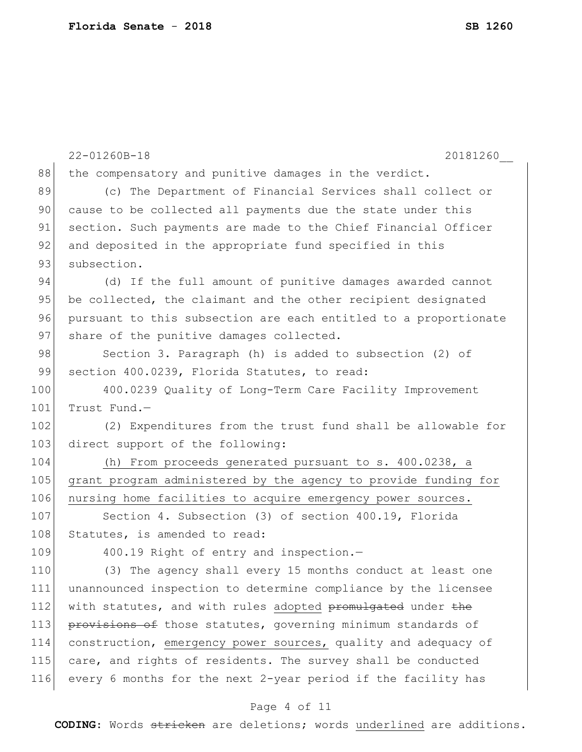|     | 22-01260B-18<br>20181260                                         |
|-----|------------------------------------------------------------------|
| 88  | the compensatory and punitive damages in the verdict.            |
| 89  | (c) The Department of Financial Services shall collect or        |
| 90  | cause to be collected all payments due the state under this      |
| 91  | section. Such payments are made to the Chief Financial Officer   |
| 92  | and deposited in the appropriate fund specified in this          |
| 93  | subsection.                                                      |
| 94  | (d) If the full amount of punitive damages awarded cannot        |
| 95  | be collected, the claimant and the other recipient designated    |
| 96  | pursuant to this subsection are each entitled to a proportionate |
| 97  | share of the punitive damages collected.                         |
| 98  | Section 3. Paragraph (h) is added to subsection (2) of           |
| 99  | section 400.0239, Florida Statutes, to read:                     |
| 100 | 400.0239 Quality of Long-Term Care Facility Improvement          |
| 101 | Trust Fund.-                                                     |
| 102 | (2) Expenditures from the trust fund shall be allowable for      |
| 103 | direct support of the following:                                 |
| 104 | (h) From proceeds generated pursuant to s. 400.0238, a           |
| 105 | grant program administered by the agency to provide funding for  |
| 106 | nursing home facilities to acquire emergency power sources.      |
| 107 | Section 4. Subsection (3) of section 400.19, Florida             |
| 108 | Statutes, is amended to read:                                    |
| 109 | 400.19 Right of entry and inspection.-                           |
| 110 | (3) The agency shall every 15 months conduct at least one        |
| 111 | unannounced inspection to determine compliance by the licensee   |
| 112 | with statutes, and with rules adopted promulgated under the      |
| 113 | provisions of those statutes, governing minimum standards of     |
| 114 | construction, emergency power sources, quality and adequacy of   |
| 115 | care, and rights of residents. The survey shall be conducted     |
| 116 | every 6 months for the next 2-year period if the facility has    |

# Page 4 of 11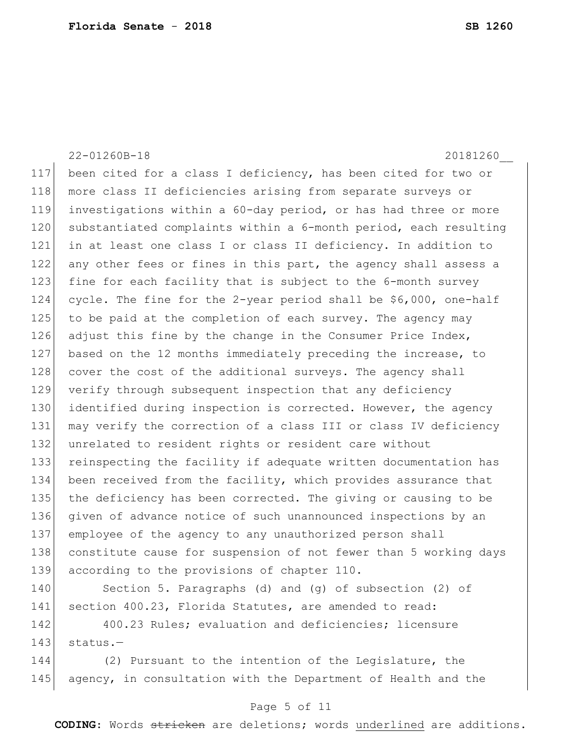22-01260B-18 20181260\_\_ 117 been cited for a class I deficiency, has been cited for two or 118 more class II deficiencies arising from separate surveys or 119 investigations within a 60-day period, or has had three or more 120 substantiated complaints within a 6-month period, each resulting 121 in at least one class I or class II deficiency. In addition to 122 any other fees or fines in this part, the agency shall assess a 123 fine for each facility that is subject to the 6-month survey 124 cycle. The fine for the 2-year period shall be \$6,000, one-half 125 to be paid at the completion of each survey. The agency may 126 adjust this fine by the change in the Consumer Price Index, 127 based on the 12 months immediately preceding the increase, to 128 cover the cost of the additional surveys. The agency shall 129 verify through subsequent inspection that any deficiency 130 identified during inspection is corrected. However, the agency 131 may verify the correction of a class III or class IV deficiency 132 unrelated to resident rights or resident care without 133 reinspecting the facility if adequate written documentation has 134 been received from the facility, which provides assurance that 135 the deficiency has been corrected. The giving or causing to be 136 given of advance notice of such unannounced inspections by an 137 employee of the agency to any unauthorized person shall 138 constitute cause for suspension of not fewer than 5 working days 139 according to the provisions of chapter 110. 140 Section 5. Paragraphs (d) and (g) of subsection (2) of 141 section 400.23, Florida Statutes, are amended to read:

142 400.23 Rules; evaluation and deficiencies; licensure  $143$  status.-

144 (2) Pursuant to the intention of the Legislature, the 145 agency, in consultation with the Department of Health and the

### Page 5 of 11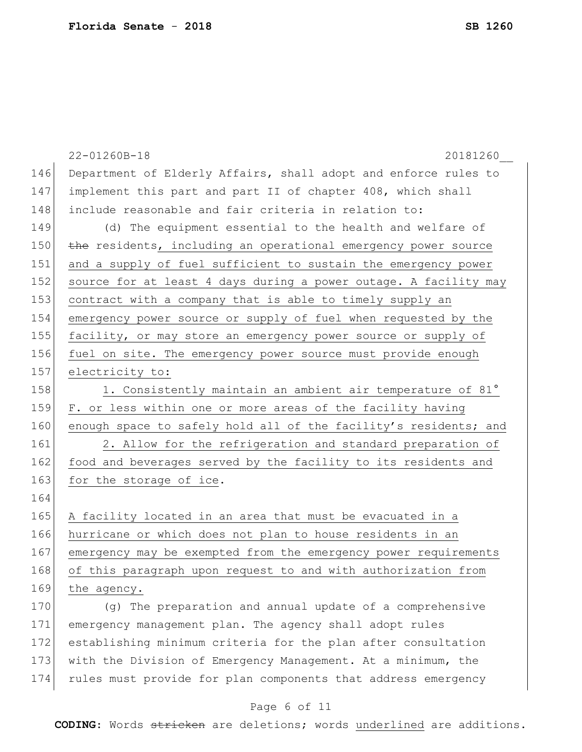|     | 22-01260B-18<br>20181260                                         |
|-----|------------------------------------------------------------------|
| 146 | Department of Elderly Affairs, shall adopt and enforce rules to  |
| 147 | implement this part and part II of chapter 408, which shall      |
| 148 | include reasonable and fair criteria in relation to:             |
| 149 | (d) The equipment essential to the health and welfare of         |
| 150 | the residents, including an operational emergency power source   |
| 151 | and a supply of fuel sufficient to sustain the emergency power   |
| 152 | source for at least 4 days during a power outage. A facility may |
| 153 | contract with a company that is able to timely supply an         |
| 154 | emergency power source or supply of fuel when requested by the   |
| 155 | facility, or may store an emergency power source or supply of    |
| 156 | fuel on site. The emergency power source must provide enough     |
| 157 | electricity to:                                                  |
| 158 | 1. Consistently maintain an ambient air temperature of 81°       |
| 159 | F. or less within one or more areas of the facility having       |
| 160 | enough space to safely hold all of the facility's residents; and |
| 161 | 2. Allow for the refrigeration and standard preparation of       |
| 162 | food and beverages served by the facility to its residents and   |
| 163 | for the storage of ice.                                          |
| 164 |                                                                  |
| 165 | A facility located in an area that must be evacuated in a        |
| 166 | hurricane or which does not plan to house residents in an        |
| 167 | emergency may be exempted from the emergency power requirements  |
| 168 | of this paragraph upon request to and with authorization from    |
| 169 | the agency.                                                      |
| 170 | (q) The preparation and annual update of a comprehensive         |
| 171 | emergency management plan. The agency shall adopt rules          |
| 172 | establishing minimum criteria for the plan after consultation    |
| 173 | with the Division of Emergency Management. At a minimum, the     |
| 174 | rules must provide for plan components that address emergency    |

# Page 6 of 11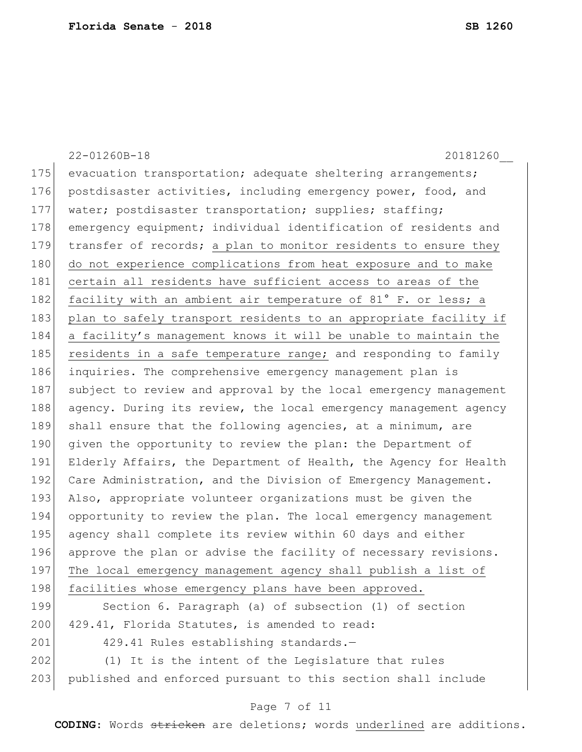22-01260B-18 20181260\_\_ 175 evacuation transportation; adequate sheltering arrangements; 176 postdisaster activities, including emergency power, food, and 177 | water; postdisaster transportation; supplies; staffing; 178 emergency equipment; individual identification of residents and 179 transfer of records; a plan to monitor residents to ensure they 180 do not experience complications from heat exposure and to make 181 certain all residents have sufficient access to areas of the 182 facility with an ambient air temperature of 81° F. or less; a 183 plan to safely transport residents to an appropriate facility if 184 a facility's management knows it will be unable to maintain the 185 residents in a safe temperature range; and responding to family 186 inquiries. The comprehensive emergency management plan is 187 subject to review and approval by the local emergency management 188 agency. During its review, the local emergency management agency 189 shall ensure that the following agencies, at a minimum, are 190 given the opportunity to review the plan: the Department of 191 Elderly Affairs, the Department of Health, the Agency for Health 192 Care Administration, and the Division of Emergency Management. 193 Also, appropriate volunteer organizations must be given the 194 opportunity to review the plan. The local emergency management 195 agency shall complete its review within 60 days and either 196 approve the plan or advise the facility of necessary revisions. 197 The local emergency management agency shall publish a list of 198 facilities whose emergency plans have been approved. 199 Section 6. Paragraph (a) of subsection (1) of section 200 429.41, Florida Statutes, is amended to read: 201 429.41 Rules establishing standards.-202 (1) It is the intent of the Legislature that rules 203 published and enforced pursuant to this section shall include

### Page 7 of 11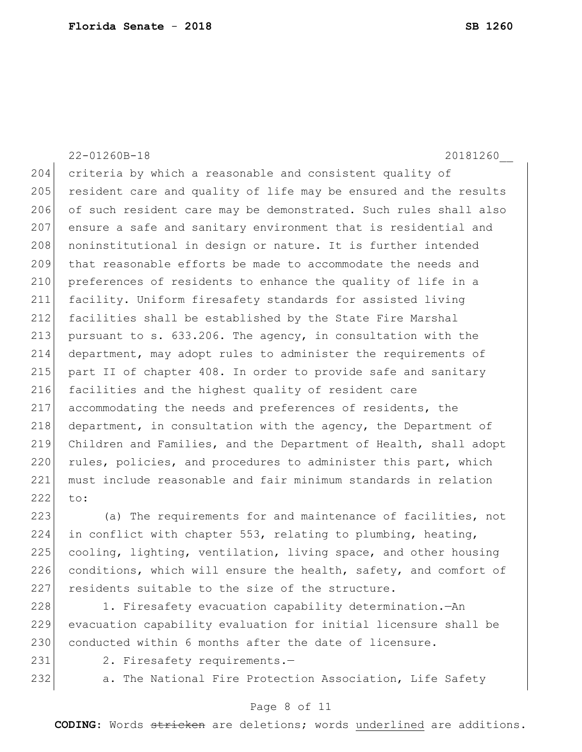22-01260B-18 20181260\_\_ 204 criteria by which a reasonable and consistent quality of 205 resident care and quality of life may be ensured and the results 206 of such resident care may be demonstrated. Such rules shall also 207 ensure a safe and sanitary environment that is residential and 208 noninstitutional in design or nature. It is further intended 209 that reasonable efforts be made to accommodate the needs and 210 preferences of residents to enhance the quality of life in a 211 facility. Uniform firesafety standards for assisted living 212 facilities shall be established by the State Fire Marshal 213 pursuant to s. 633.206. The agency, in consultation with the 214 department, may adopt rules to administer the requirements of 215 part II of chapter 408. In order to provide safe and sanitary 216 facilities and the highest quality of resident care 217 accommodating the needs and preferences of residents, the  $218$  department, in consultation with the agency, the Department of 219 Children and Families, and the Department of Health, shall adopt 220 rules, policies, and procedures to administer this part, which 221 must include reasonable and fair minimum standards in relation 222 to:

223 (a) The requirements for and maintenance of facilities, not 224 in conflict with chapter 553, relating to plumbing, heating, 225 cooling, lighting, ventilation, living space, and other housing 226 conditions, which will ensure the health, safety, and comfort of 227 residents suitable to the size of the structure.

228 1. Firesafety evacuation capability determination.—An 229 evacuation capability evaluation for initial licensure shall be 230 conducted within 6 months after the date of licensure.

231 2. Firesafety requirements.-

232 a. The National Fire Protection Association, Life Safety

#### Page 8 of 11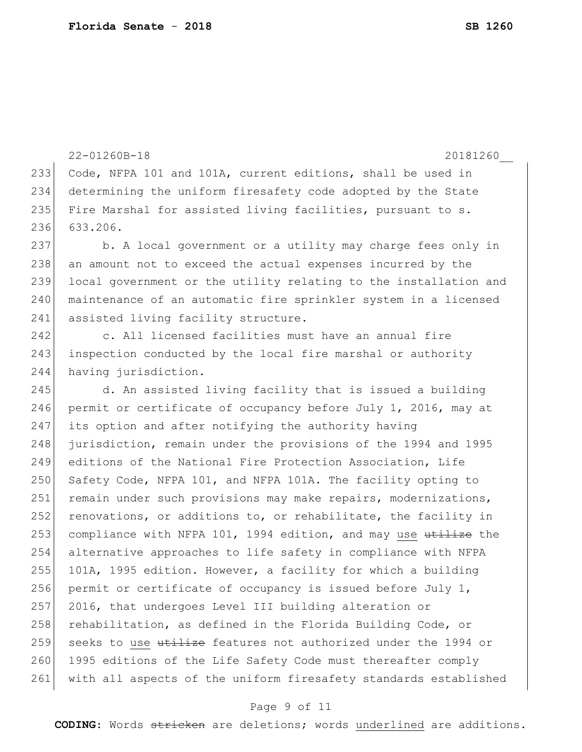```
22-01260B-18 20181260__
233 Code, NFPA 101 and 101A, current editions, shall be used in 
234 determining the uniform firesafety code adopted by the State 
235 Fire Marshal for assisted living facilities, pursuant to s.
236 633.206.
237 b. A local government or a utility may charge fees only in
238 an amount not to exceed the actual expenses incurred by the
239 local government or the utility relating to the installation and
240 maintenance of an automatic fire sprinkler system in a licensed
241 assisted living facility structure.
242 c. All licensed facilities must have an annual fire
243 inspection conducted by the local fire marshal or authority
244 having jurisdiction.
245 d. An assisted living facility that is issued a building
246 permit or certificate of occupancy before July 1, 2016, may at
247 its option and after notifying the authority having 
248 jurisdiction, remain under the provisions of the 1994 and 1995 
249 editions of the National Fire Protection Association, Life 
250 Safety Code, NFPA 101, and NFPA 101A. The facility opting to
251 remain under such provisions may make repairs, modernizations,
252 renovations, or additions to, or rehabilitate, the facility in
253 compliance with NFPA 101, 1994 edition, and may use \frac{u}{u} use the
254 alternative approaches to life safety in compliance with NFPA 
255 101A, 1995 edition. However, a facility for which a building
256 permit or certificate of occupancy is issued before July 1,
257 2016, that undergoes Level III building alteration or 
258 rehabilitation, as defined in the Florida Building Code, or
259 seeks to use utilize features not authorized under the 1994 or
260 1995 editions of the Life Safety Code must thereafter comply
261 with all aspects of the uniform firesafety standards established
```
#### Page 9 of 11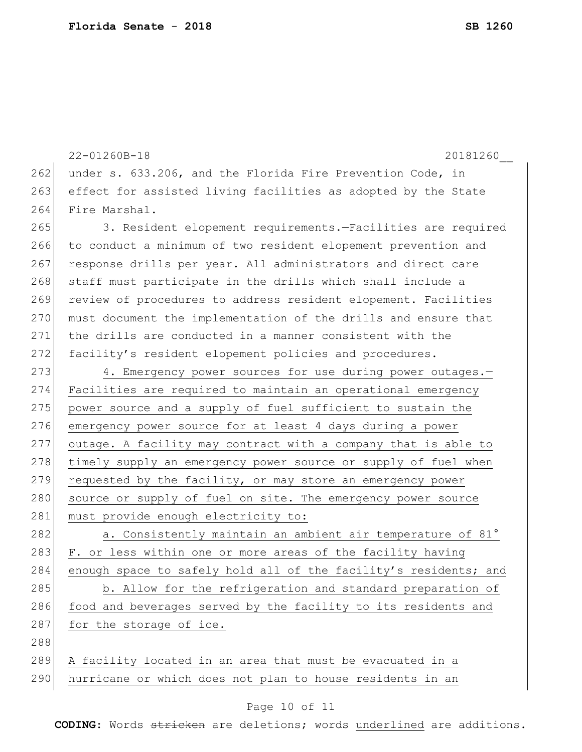```
22-01260B-18 20181260__
262 under s. 633.206, and the Florida Fire Prevention Code, in
263 effect for assisted living facilities as adopted by the State
264 Fire Marshal.
265 3. Resident elopement requirements.—Facilities are required 
266 to conduct a minimum of two resident elopement prevention and
267 response drills per year. All administrators and direct care
268 staff must participate in the drills which shall include a
269 review of procedures to address resident elopement. Facilities
270 must document the implementation of the drills and ensure that
271 the drills are conducted in a manner consistent with the 
272 facility's resident elopement policies and procedures.
273 4. Emergency power sources for use during power outages.-
274 Facilities are required to maintain an operational emergency 
275 power source and a supply of fuel sufficient to sustain the
276 emergency power source for at least 4 days during a power
277 outage. A facility may contract with a company that is able to 
278 timely supply an emergency power source or supply of fuel when
279 requested by the facility, or may store an emergency power
280 source or supply of fuel on site. The emergency power source
281 must provide enough electricity to:
282 a. Consistently maintain an ambient air temperature of 81°
283 F. or less within one or more areas of the facility having
284 enough space to safely hold all of the facility's residents; and
285 b. Allow for the refrigeration and standard preparation of
286 food and beverages served by the facility to its residents and
287 for the storage of ice.
288
289 A facility located in an area that must be evacuated in a 
290 hurricane or which does not plan to house residents in an
```
### Page 10 of 11